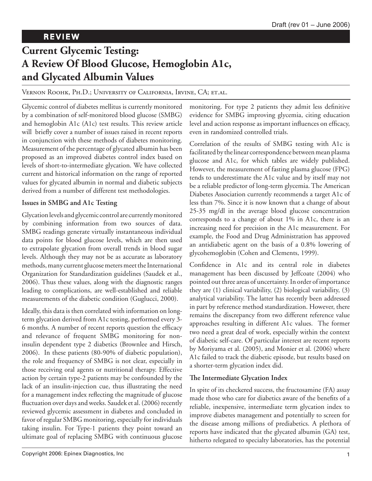## **REVIEW**

# **Current Glycemic Testing: A Review Of Blood Glucose, Hemoglobin A1c, and Glycated Albumin Values**

VERNON ROOHK, PH.D.; UNIVERSITY OF CALIFORNIA, IRVINE, CA; ET.AL.

Glycemic control of diabetes mellitus is currently monitored by a combination of self-monitored blood glucose (SMBG) and hemoglobin A1c (A1c) test results. This review article will briefly cover a number of issues raised in recent reports in conjunction with these methods of diabetes monitoring. Measurement of the percentage of glycated albumin has been proposed as an improved diabetes control index based on levels of short-to-intermediate glycation. We have collected current and historical information on the range of reported values for glycated albumin in normal and diabetic subjects derived from a number of different test methodologies.

#### **Issues in SMBG and A1c Testing**

Glycation levels and glycemic control are currently monitored by combining information from two sources of data. SMBG readings generate virtually instantaneous individual data points for blood glucose levels, which are then used to extrapolate glycation from overall trends in blood sugar levels. Although they may not be as accurate as laboratory methods, many current glucose meters meet the International Organization for Standardization guidelines (Saudek et al., 2006). Thus these values, along with the diagnostic ranges leading to complications, are well-established and reliable measurements of the diabetic condition (Guglucci, 2000).

Ideally, this data is then correlated with information on longterm glycation derived from A1c testing, performed every 3- 6 months. A number of recent reports question the efficacy and relevance of frequent SMBG monitoring for noninsulin dependent type 2 diabetics (Brownlee and Hirsch, 2006). In these patients (80-90% of diabetic population), the role and frequency of SMBG is not clear, especially in those receiving oral agents or nutritional therapy. Effective action by certain type-2 patients may be confounded by the lack of an insulin-injection cue, thus illustrating the need for a management index reflecting the magnitude of glucose fluctuation over days and weeks. Saudek et al. (2006) recently reviewed glycemic assessment in diabetes and concluded in favor of regular SMBG monitoring, especially for individuals taking insulin. For Type-1 patients they point toward an ultimate goal of replacing SMBG with continuous glucose

monitoring. For type 2 patients they admit less definitive evidence for SMBG improving glycemia, citing education level and action response as important influences on efficacy, even in randomized controlled trials.

Correlation of the results of SMBG testing with A1c is facilitated by the linear correspondence between mean plasma glucose and A1c, for which tables are widely published. However, the measurement of fasting plasma glucose (FPG) tends to underestimate the A1c value and by itself may not be a reliable predictor of long-term glycemia. The American Diabetes Association currently recommends a target A1c of less than 7%. Since it is now known that a change of about 25-35 mg/dl in the average blood glucose concentration corresponds to a change of about 1% in A1c, there is an increasing need for precision in the A1c measurement. For example, the Food and Drug Administration has approved an antidiabetic agent on the basis of a 0.8% lowering of glycohemoglobin (Cohen and Clements, 1999).

Confidence in A1c and its central role in diabetes management has been discussed by Jeffcoate (2004) who pointed out three areas of uncertainty. In order of importance they are (1) clinical variability, (2) biological variability, (3) analytical variability. The latter has recently been addressed in part by reference method standardization. However, there remains the discrepancy from two different reference value approaches resulting in different A1c values. The former two need a great deal of work, especially within the context of diabetic self-care. Of particular interest are recent reports by Moriyama et al. (2005), and Monier et al. (2006) where A1c failed to track the diabetic episode, but results based on a shorter-term glycation index did.

#### **The Intermediate Glycation Index**

In spite of its checkered success, the fructosamine (FA) assay made those who care for diabetics aware of the benefits of a reliable, inexpensive, intermediate term glycation index to improve diabetes management and potentially to screen for the disease among millions of prediabetics. A plethora of reports have indicated that the glycated albumin (GA) test, hitherto relegated to specialty laboratories, has the potential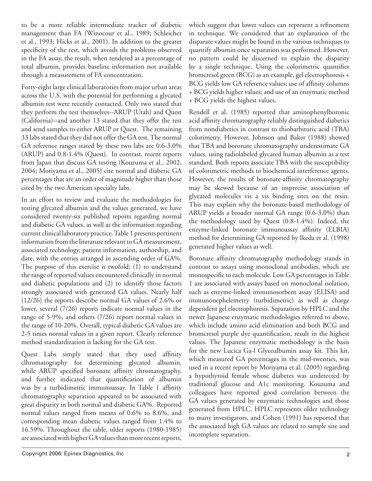to be a more reliable intermediate tracker of diabetic management than FA (Winocour et al., 1989; Schleicher et al., 1993; Hicks et al., 2001). In addition to the greater specificity of the test, which avoids the problems observed in the FA assay, the result, when rendered as a percentage of total albumin, provides baseline information not available through a measurement of FA concentration.

Forty-eight large clinical laboratories from major urban areas across the U.S. with the potential for performing a glycated albumin test were recently contacted. Only two stated that they perform the test themselves--ARUP (Utah) and Quest (California)--and another 13 stated that they offer the test and send samples to either ARUP or Quest. The remaining 33 labs stated that they did not offer the GA test. The normal GA reference ranges stated by these two labs are 0.6-3.0% (ARUP) and 0.8-1.4% (Quest). In contrast, recent reports from Japan that discuss GA testing (Kouzuma et al., 2002, 2004; Moriyama et al., 2005) cite normal and diabetic GA percentages that are an order of magnitude higher than those cited by the two American specialty labs.

In an effort to review and evaluate the methodologies for testing glycated albumin and the values generated, we have considered twenty-six published reports regarding normal and diabetic GA values, as well as the information regarding current clinical laboratory practice. Table 1 presents pertinent information from the literature relevant to GA measurement, associated technology, patient information, authorship, and date, with the entries arranged in ascending order of GA%. The purpose of this exercise is twofold: (1) to understand the range of reported values encountered clinically in normal and diabetic populations and (2) to identify those factors strongly associated with generated GA values. Nearly half (12/26) the reports describe normal GA values of 2.6% or lower, several (7/26) reports indicate normal values in the range of 5-9%, and others (7/26) report normal values in the range of 10-20%. Overall, typical diabetic GA values are 2-5 times normal values in a given report. Clearly reference method standardization is lacking for the GA test.

Quest Labs simply stated that they used affinity clhromatography for determining glycated albumin, while ARUP specified boronate affinity chromatography, and further indicated that quantification of albumin was by a turbidimetric immunoassay. In Table 1 affinity chromatography separation appeared to be associated with great disparity in both normal and diabetic GA%. Reported normal values ranged from means of 0.6% to 8.6%, and corresponding mean diabetic values ranged from 1.4% to 16.59%. Throughout the table, older reports (1980-1985) are associated with higher GA values than more recent reports,

which suggest that lower values can represent a refinement in technique. We considered that an explanation of the disparate values might be found in the various techniques to quantify albumin once separation was performed. However, no pattern could be discerned to explain the disparity by a single technique. Using the colorimetric quantifier bromcresol green (BCG) as an example, gel electrophoresis + BCG yields low GA reference values; use of affinity columns + BCG yields higher values; and use of an enzymatic method + BCG yields the highest values.

Rendell et al. (1985) reported that aminophenylboronic acid affinity chromatography reliably distinguished diabetics from nondiabetics in contrast to thiobarbituric acid (TBA) colorimetry. However, Johnson and Baker (1988) showed that TBA and boronate chromatography underestimate GA values, using radiolabeled glycated human albumin as a test standard. Both reports associate TBA with the susceptibility of colorimetric methods to biochemical interference agents. However, the results of boronate-affinity chromatography may be skewed because of an imprecise association of glycated molecules vis a vis binding sites on the resin. This may explain why the boronate-based methodology of ARUP yields a broader normal GA range (0.6-3.0%) than the methodology used by Quest (0.8-1.4%). Indeed, the enzyme-linked boronate immunoassay affinity (ELBIA) method for determining GA reported by Ikeda et al. (1998) generated higher values as well.

Boronate affinity chromatography methodology stands in contrast to assays using monoclonal antibodies, which are monospecific to each molecule. Low GA percentages in Table 1 are associated with assays based on monoclonal isolation, such as enzyme-linked immunosorbent assay (ELISA) and immunonephelemetry (turbidimetric) as well as charge dependent gel electrophoresis. Separation by HPLC and the newer Japanese enzymatic methodologies referred to above, which include amino acid elimination and both BCG and bromcresol purple dye quantification, result in the highest values. The Japanese enzymatic methodology is the basis for the new Lucica Ga-l Glycoalbumin assay kit. This kit, which measured GA percentages in the mid-twenties, was used in a recent report by Moriyama et al. (2005) regarding a hypothyroid female whose diabetes was undetected by traditional glucose and A1c monitoring. Kouzuma and colleagues have reported good correlation between the GA values generated by enzymatic technologies and those generated from HPLC. HPLC represents older technology to many investigators, and Cohen (1991) has reported that the associated high GA values are related to sample size and incomplete separation.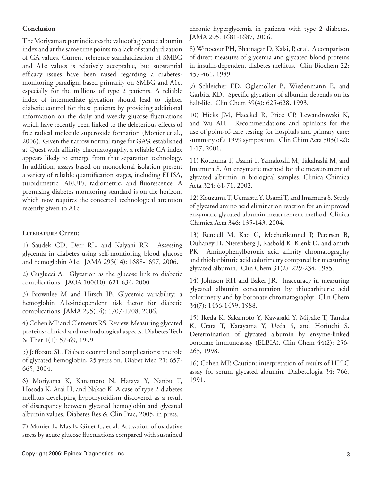#### **Conclusion**

The Moriyama report indicates the value of a glycated albumin index and at the same time points to a lack of standardization of GA values. Current reference standardization of SMBG and A1c values is relatively acceptable, but substantial efficacy issues have been raised regarding a diabetesmonitoring paradigm based primarily on SMBG and A1c, especially for the millions of type 2 patients. A reliable index of intermediate glycation should lead to tighter diabetic control for these patients by providing additional information on the daily and weekly glucose fluctuations which have recently been linked to the deleterious effects of free radical molecule superoxide formation (Monier et al., 2006). Given the narrow normal range for GA% established at Quest with affinity chromatography, a reliable GA index appears likely to emerge from that separation technology. In addition, assays based on monoclonal isolation present a variety of reliable quantification stages, including ELISA, turbidimetric (ARUP), radiometric, and fluorescence. A promising diabetes monitoring standard is on the horizon, which now requires the concerted technological attention recently given to A1c.

#### **LITERATURE CITED:**

1) Saudek CD, Derr RL, and Kalyani RR. Assessing glycemia in diabetes using self-montioring blood glucose and hemoglobin A1c. JAMA 295(14): 1688-1697, 2006.

2) Guglucci A. Glycation as the glucose link to diabetic complications. JAOA 100(10): 621-634, 2000

3) Brownlee M and Hirsch IB. Glycemic variability: a hemoglobin A1c-independent risk factor for diabetic complications. JAMA 295(14): 1707-1708, 2006.

4) Cohen MP and Clements RS. Review. Measuring glycated proteins: clinical and methodological aspects. Diabetes Tech & Ther 1(1): 57-69, 1999.

5) Jeffcoate SL. Diabetes control and complications: the role of glycated hemoglobin, 25 years on. Diabet Med 21: 657- 665, 2004.

6) Moriyama K, Kanamoto N, Hataya Y, Nanbu T, Hosoda K, Arai H, and Nakao K. A case of type 2 diabetes mellitus developing hypothyroidism discovered as a result of discrepancy between glycated hemoglobin and glycated albumin values. Diabetes Res & Clin Prac, 2005, in press.

7) Monier L, Mas E, Ginet C, et al. Activation of oxidative stress by acute glucose fluctuations compared with sustained

chronic hyperglycemia in patients with type 2 diabetes. JAMA 295: 1681-1687, 2006.

8) Winocour PH, Bhatnagar D, Kalsi, P, et al. A comparison of direct measures of glycemia and glycated blood proteins in insulin-dependent diabetes mellitus. Clin Biochem 22: 457-461, 1989.

9) Schleicher ED, Oglemoller B, Wiedenmann E, and Garbitz KD. Specific glycation of albumin depends on its half-life. Clin Chem 39(4): 625-628, 1993.

10) Hicks JM, Haeckel R, Price CP, Lewandrowski K, and Wu AH. Recommendations and opinions for the use of point-of-care testing for hospitals and primary care: summary of a 1999 symposium. Clin Chim Acta 303(1-2): 1-17, 2001.

11) Kouzuma T, Usami T, Yamakoshi M, Takahashi M, and Imamura S. An enzymatic method for the measurement of glycated albumin in biological samples. Clinica Chimica Acta 324: 61-71, 2002.

12) Kouzuma T, Uemastu Y, Usami T, and Imamura S. Study of glycated amino acid elimination reaction for an improved enzymatic glycated albumin measurement method. Clinica Chimica Acta 346: 135-143, 2004.

13) Rendell M, Kao G, Mecherikunnel P, Petersen B, Duhaney H, Nierenberg J, Rasbold K, Klenk D, and Smith PK. Aminophenylboronic acid affinity chromatography and thiobarbituric acid colorimetry compared for measuring glycated albumin. Clin Chem 31(2): 229-234, 1985.

14) Johnson RH and Baker JR. Inaccuracy in measuring glycated albumin concentration by thiobarbituric acid colorimetry and by boronate chromatography. Clin Chem 34(7): 1456-1459, 1988.

15) Ikeda K, Sakamoto Y, Kawasaki Y, Miyake T, Tanaka K, Urata T, Katayama Y, Ueda S, and Horiuchi S. Determination of glycated albumin by enzyme-linked boronate immunoassay (ELBIA). Clin Chem 44(2): 256- 263, 1998.

16) Cohen MP. Caution: interpretation of results of HPLC assay for serum glycated albumin. Diabetologia 34: 766, 1991.